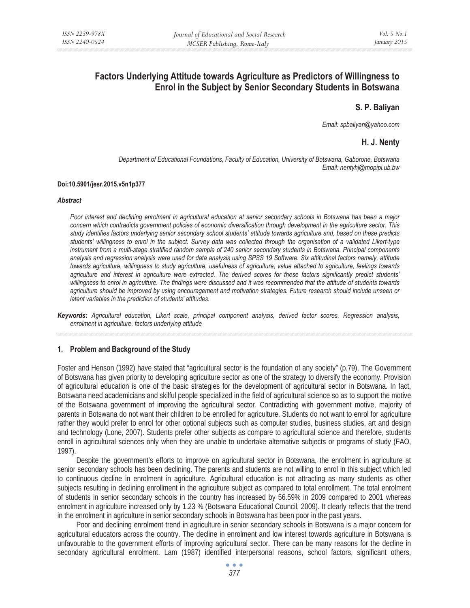# **Factors Underlying Attitude towards Agriculture as Predictors of Willingness to Enrol in the Subject by Senior Secondary Students in Botswana**

## **S. P. Baliyan**

*Email: spbaliyan@yahoo.com* 

# **H. J. Nenty**

*Department of Educational Foundations, Faculty of Education, University of Botswana, Gaborone, Botswana Email: nentyhj@mopipi.ub.bw* 

#### **Doi:10.5901/jesr.2015.v5n1p377**

#### *Abstract*

*Poor interest and declining enrolment in agricultural education at senior secondary schools in Botswana has been a major concern which contradicts government policies of economic diversification through development in the agriculture sector. This study identifies factors underlying senior secondary school students' attitude towards agriculture and, based on these predicts students' willingness to enrol in the subject. Survey data was collected through the organisation of a validated Likert-type instrument from a multi-stage stratified random sample of 240 senior secondary students in Botswana. Principal components analysis and regression analysis were used for data analysis using SPSS 19 Software. Six attitudinal factors namely, attitude towards agriculture, willingness to study agriculture, usefulness of agriculture, value attached to agriculture, feelings towards agriculture and interest in agriculture were extracted. The derived scores for these factors significantly predict students' willingness to enrol in agriculture. The findings were discussed and it was recommended that the attitude of students towards agriculture should be improved by using encouragement and motivation strategies. Future research should include unseen or latent variables in the prediction of students' attitudes.* 

*Keywords: Agricultural education, Likert scale, principal component analysis, derived factor scores, Regression analysis, enrolment in agriculture, factors underlying attitude* 

#### **1. Problem and Background of the Study**

Foster and Henson (1992) have stated that "agricultural sector is the foundation of any society" (p.79). The Government of Botswana has given priority to developing agriculture sector as one of the strategy to diversify the economy. Provision of agricultural education is one of the basic strategies for the development of agricultural sector in Botswana. In fact, Botswana need academicians and skilful people specialized in the field of agricultural science so as to support the motive of the Botswana government of improving the agricultural sector. Contradicting with government motive, majority of parents in Botswana do not want their children to be enrolled for agriculture. Students do not want to enrol for agriculture rather they would prefer to enrol for other optional subjects such as computer studies, business studies, art and design and technology (Lone, 2007). Students prefer other subjects as compare to agricultural science and therefore, students enroll in agricultural sciences only when they are unable to undertake alternative subjects or programs of study (FAO, 1997).

Despite the government's efforts to improve on agricultural sector in Botswana, the enrolment in agriculture at senior secondary schools has been declining. The parents and students are not willing to enrol in this subject which led to continuous decline in enrolment in agriculture. Agricultural education is not attracting as many students as other subjects resulting in declining enrollment in the agriculture subject as compared to total enrollment. The total enrolment of students in senior secondary schools in the country has increased by 56.59% in 2009 compared to 2001 whereas enrolment in agriculture increased only by 1.23 % (Botswana Educational Council, 2009). It clearly reflects that the trend in the enrolment in agriculture in senior secondary schools in Botswana has been poor in the past years.

Poor and declining enrolment trend in agriculture in senior secondary schools in Botswana is a major concern for agricultural educators across the country. The decline in enrolment and low interest towards agriculture in Botswana is unfavourable to the government efforts of improving agricultural sector. There can be many reasons for the decline in secondary agricultural enrolment. Lam (1987) identified interpersonal reasons, school factors, significant others,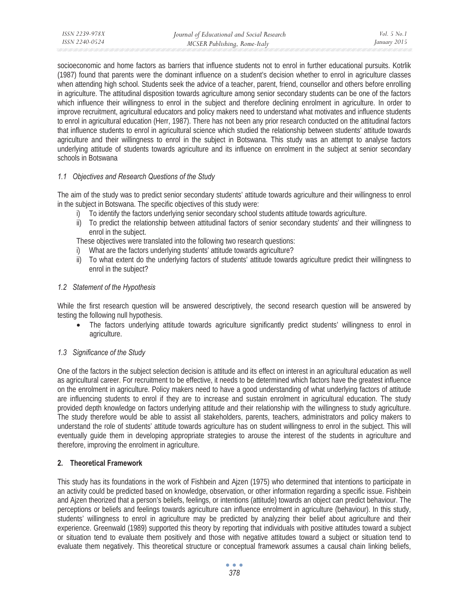socioeconomic and home factors as barriers that influence students not to enrol in further educational pursuits. Kotrlik (1987) found that parents were the dominant influence on a student's decision whether to enrol in agriculture classes when attending high school. Students seek the advice of a teacher, parent, friend, counsellor and others before enrolling in agriculture. The attitudinal disposition towards agriculture among senior secondary students can be one of the factors which influence their willingness to enrol in the subject and therefore declining enrolment in agriculture. In order to improve recruitment, agricultural educators and policy makers need to understand what motivates and influence students to enrol in agricultural education (Herr, 1987). There has not been any prior research conducted on the attitudinal factors that influence students to enrol in agricultural science which studied the relationship between students' attitude towards agriculture and their willingness to enrol in the subject in Botswana. This study was an attempt to analyse factors underlying attitude of students towards agriculture and its influence on enrolment in the subject at senior secondary schools in Botswana

# *1.1 Objectives and Research Questions of the Study*

The aim of the study was to predict senior secondary students' attitude towards agriculture and their willingness to enrol in the subject in Botswana. The specific objectives of this study were:

- i) To identify the factors underlying senior secondary school students attitude towards agriculture.
- ii) To predict the relationship between attitudinal factors of senior secondary students' and their willingness to enrol in the subject.

These objectives were translated into the following two research questions:

- i) What are the factors underlying students' attitude towards agriculture?
- ii) To what extent do the underlying factors of students' attitude towards agriculture predict their willingness to enrol in the subject?

# *1.2 Statement of the Hypothesis*

While the first research question will be answered descriptively, the second research question will be answered by testing the following null hypothesis.

• The factors underlying attitude towards agriculture significantly predict students' willingness to enrol in agriculture.

# *1.3 Significance of the Study*

One of the factors in the subject selection decision is attitude and its effect on interest in an agricultural education as well as agricultural career. For recruitment to be effective, it needs to be determined which factors have the greatest influence on the enrolment in agriculture. Policy makers need to have a good understanding of what underlying factors of attitude are influencing students to enrol if they are to increase and sustain enrolment in agricultural education. The study provided depth knowledge on factors underlying attitude and their relationship with the willingness to study agriculture. The study therefore would be able to assist all stakeholders, parents, teachers, administrators and policy makers to understand the role of students' attitude towards agriculture has on student willingness to enrol in the subject. This will eventually guide them in developing appropriate strategies to arouse the interest of the students in agriculture and therefore, improving the enrolment in agriculture.

## **2. Theoretical Framework**

This study has its foundations in the work of Fishbein and Ajzen (1975) who determined that intentions to participate in an activity could be predicted based on knowledge, observation, or other information regarding a specific issue. Fishbein and Ajzen theorized that a person's beliefs, feelings, or intentions (attitude) towards an object can predict behaviour. The perceptions or beliefs and feelings towards agriculture can influence enrolment in agriculture (behaviour). In this study, students' willingness to enrol in agriculture may be predicted by analyzing their belief about agriculture and their experience. Greenwald (1989) supported this theory by reporting that individuals with positive attitudes toward a subject or situation tend to evaluate them positively and those with negative attitudes toward a subject or situation tend to evaluate them negatively. This theoretical structure or conceptual framework assumes a causal chain linking beliefs,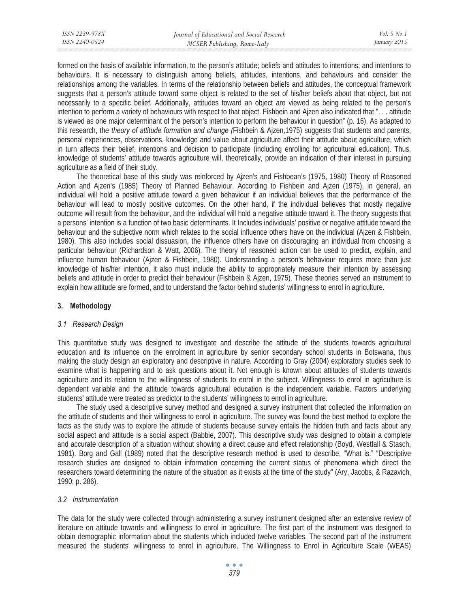formed on the basis of available information, to the person's attitude; beliefs and attitudes to intentions; and intentions to behaviours. It is necessary to distinguish among beliefs, attitudes, intentions, and behaviours and consider the relationships among the variables. In terms of the relationship between beliefs and attitudes, the conceptual framework suggests that a person's attitude toward some object is related to the set of his/her beliefs about that object, but not necessarily to a specific belief. Additionally, attitudes toward an object are viewed as being related to the person's intention to perform a variety of behaviours with respect to that object. Fishbein and Ajzen also indicated that ". . . attitude is viewed as one major determinant of the person's intention to perform the behaviour in question" (p. 16). As adapted to this research, the *theory of attitude formation and change (*Fishbein & Ajzen,1975) suggests that students and parents, personal experiences, observations, knowledge and value about agriculture affect their attitude about agriculture, which in turn affects their belief, intentions and decision to participate (including enrolling for agricultural education). Thus, knowledge of students' attitude towards agriculture will, theoretically, provide an indication of their interest in pursuing agriculture as a field of their study.

The theoretical base of this study was reinforced by Ajzen's and Fishbean's (1975, 1980) Theory of Reasoned Action and Ajzen's (1985) Theory of Planned Behaviour. According to Fishbein and Ajzen (1975), in general, an individual will hold a positive attitude toward a given behaviour if an individual believes that the performance of the behaviour will lead to mostly positive outcomes. On the other hand, if the individual believes that mostly negative outcome will result from the behaviour, and the individual will hold a negative attitude toward it. The theory suggests that a persons' intention is a function of two basic determinants. It Includes individuals' positive or negative attitude toward the behaviour and the subjective norm which relates to the social influence others have on the individual (Ajzen & Fishbein, 1980). This also includes social dissuasion, the influence others have on discouraging an individual from choosing a particular behaviour (Richardson & Watt, 2006). The theory of reasoned action can be used to predict, explain, and influence human behaviour (Ajzen & Fishbein, 1980). Understanding a person's behaviour requires more than just knowledge of his/her intention, it also must include the ability to appropriately measure their intention by assessing beliefs and attitude in order to predict their behaviour (Fishbein & Ajzen, 1975). These theories served an instrument to explain how attitude are formed, and to understand the factor behind students' willingness to enrol in agriculture.

## **3. Methodology**

## *3.1 Research Design*

This quantitative study was designed to investigate and describe the attitude of the students towards agricultural education and its influence on the enrolment in agriculture by senior secondary school students in Botswana, thus making the study design an exploratory and descriptive in nature. According to Gray (2004) exploratory studies seek to examine what is happening and to ask questions about it. Not enough is known about attitudes of students towards agriculture and its relation to the willingness of students to enrol in the subject. Willingness to enrol in agriculture is dependent variable and the attitude towards agricultural education is the independent variable. Factors underlying students' attitude were treated as predictor to the students' willingness to enrol in agriculture.

The study used a descriptive survey method and designed a survey instrument that collected the information on the attitude of students and their willingness to enrol in agriculture. The survey was found the best method to explore the facts as the study was to explore the attitude of students because survey entails the hidden truth and facts about any social aspect and attitude is a social aspect (Babbie, 2007). This descriptive study was designed to obtain a complete and accurate description of a situation without showing a direct cause and effect relationship (Boyd, Westfall & Stasch, 1981). Borg and Gall (1989) noted that the descriptive research method is used to describe, "What is." "Descriptive research studies are designed to obtain information concerning the current status of phenomena which direct the researchers toward determining the nature of the situation as it exists at the time of the study" (Ary, Jacobs, & Razavich, 1990; p. 286).

## *3.2 Instrumentation*

The data for the study were collected through administering a survey instrument designed after an extensive review of literature on attitude towards and willingness to enrol in agriculture. The first part of the instrument was designed to obtain demographic information about the students which included twelve variables. The second part of the instrument measured the students' willingness to enrol in agriculture. The Willingness to Enrol in Agriculture Scale (WEAS)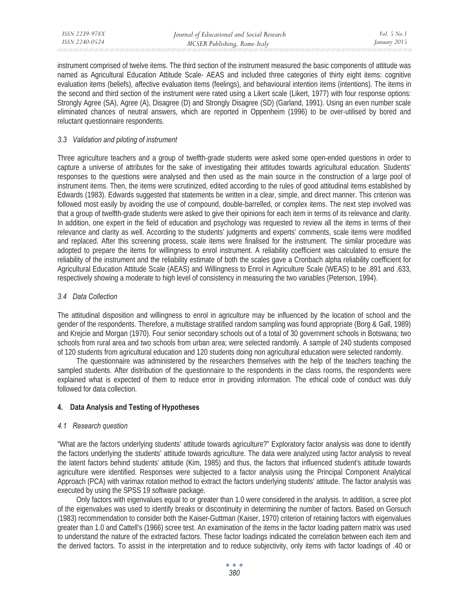| ISSN 2239-978X | Journal of Educational and Social Research | <i>Vol.</i> 5 No. 1 |
|----------------|--------------------------------------------|---------------------|
| ISSN 2240-0524 | MCSER Publishing, Rome-Italy               | January 2015        |
|                |                                            |                     |

instrument comprised of twelve items. The third section of the instrument measured the basic components of attitude was named as Agricultural Education Attitude Scale- AEAS and included three categories of thirty eight items: cognitive evaluation items (beliefs), affective evaluation items (feelings), and behavioural intention items (intentions). The items in the second and third section of the instrument were rated using a Likert scale (Likert, 1977) with four response options: Strongly Agree (SA), Agree (A), Disagree (D) and Strongly Disagree (SD) (Garland, 1991). Using an even number scale eliminated chances of neutral answers, which are reported in Oppenheim (1996) to be over-utilised by bored and reluctant questionnaire respondents.

## *3.3 Validation and piloting of instrument*

Three agriculture teachers and a group of twelfth-grade students were asked some open-ended questions in order to capture a universe of attributes for the sake of investigating their attitudes towards agricultural education. Students' responses to the questions were analysed and then used as the main source in the construction of a large pool of instrument items. Then, the items were scrutinized, edited according to the rules of good attitudinal items established by Edwards (1983). Edwards suggested that statements be written in a clear, simple, and direct manner. This criterion was followed most easily by avoiding the use of compound, double-barrelled, or complex items. The next step involved was that a group of twelfth-grade students were asked to give their opinions for each item in terms of its relevance and clarity. In addition, one expert in the field of education and psychology was requested to review all the items in terms of their relevance and clarity as well. According to the students' judgments and experts' comments, scale items were modified and replaced. After this screening process, scale items were finalised for the instrument. The similar procedure was adopted to prepare the items for willingness to enrol instrument. A reliability coefficient was calculated to ensure the reliability of the instrument and the reliability estimate of both the scales gave a Cronbach alpha reliability coefficient for Agricultural Education Attitude Scale (AEAS) and Willingness to Enrol in Agriculture Scale (WEAS) to be .891 and .633, respectively showing a moderate to high level of consistency in measuring the two variables (Peterson, 1994).

## *3.4 Data Collection*

The attitudinal disposition and willingness to enrol in agriculture may be influenced by the location of school and the gender of the respondents. Therefore, a multistage stratified random sampling was found appropriate (Borg & Gall, 1989) and Krejcie and Morgan (1970). Four senior secondary schools out of a total of 30 government schools in Botswana; two schools from rural area and two schools from urban area; were selected randomly. A sample of 240 students composed of 120 students from agricultural education and 120 students doing non agricultural education were selected randomly.

The questionnaire was administered by the researchers themselves with the help of the teachers teaching the sampled students. After distribution of the questionnaire to the respondents in the class rooms, the respondents were explained what is expected of them to reduce error in providing information. The ethical code of conduct was duly followed for data collection.

## **4. Data Analysis and Testing of Hypotheses**

## *4.1 Research question*

"What are the factors underlying students' attitude towards agriculture?" Exploratory factor analysis was done to identify the factors underlying the students' attitude towards agriculture. The data were analyzed using factor analysis to reveal the latent factors behind students' attitude (Kim, 1985) and thus, the factors that influenced student's attitude towards agriculture were identified. Responses were subjected to a factor analysis using the Principal Component Analytical Approach (PCA) with varimax rotation method to extract the factors underlying students' attitude. The factor analysis was executed by using the SPSS 19 software package.

Only factors with eigenvalues equal to or greater than 1.0 were considered in the analysis. In addition, a scree plot of the eigenvalues was used to identify breaks or discontinuity in determining the number of factors. Based on Gorsuch (1983) recommendation to consider both the Kaiser-Guttman (Kaiser, 1970) criterion of retaining factors with eigenvalues greater than 1.0 and Cattell's (1966) scree test. An examination of the items in the factor loading pattern matrix was used to understand the nature of the extracted factors. These factor loadings indicated the correlation between each item and the derived factors. To assist in the interpretation and to reduce subjectivity, only items with factor loadings of .40 or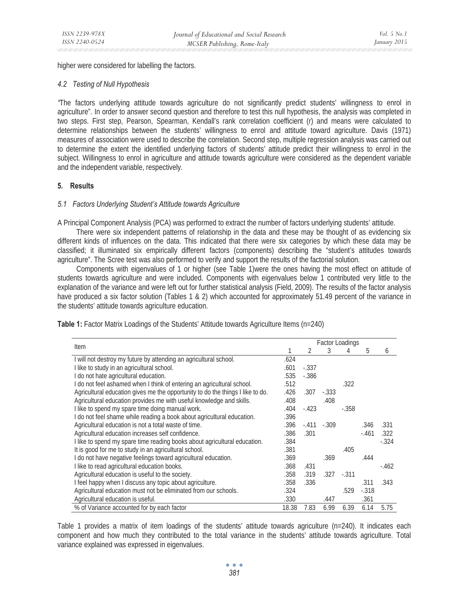higher were considered for labelling the factors.

#### *4.2 Testing of Null Hypothesis*

*"*The factors underlying attitude towards agriculture do not significantly predict students' willingness to enrol in agriculture". In order to answer second question and therefore to test this null hypothesis, the analysis was completed in two steps. First step, Pearson, Spearman, Kendall's rank correlation coefficient (r) and means were calculated to determine relationships between the students' willingness to enrol and attitude toward agriculture. Davis (1971) measures of association were used to describe the correlation. Second step, multiple regression analysis was carried out to determine the extent the identified underlying factors of students' attitude predict their willingness to enrol in the subject. Willingness to enrol in agriculture and attitude towards agriculture were considered as the dependent variable and the independent variable, respectively.

# **5. Results**

#### *5.1 Factors Underlying Student's Attitude towards Agriculture*

A Principal Component Analysis (PCA) was performed to extract the number of factors underlying students' attitude.

There were six independent patterns of relationship in the data and these may be thought of as evidencing six different kinds of influences on the data. This indicated that there were six categories by which these data may be classified; it illuminated six empirically different factors (components) describing the "student's attitudes towards agriculture". The Scree test was also performed to verify and support the results of the factorial solution.

Components with eigenvalues of 1 or higher (see Table 1)were the ones having the most effect on attitude of students towards agriculture and were included. Components with eigenvalues below 1 contributed very little to the explanation of the variance and were left out for further statistical analysis (Field, 2009). The results of the factor analysis have produced a six factor solution (Tables 1 & 2) which accounted for approximately 51.49 percent of the variance in the students' attitude towards agriculture education.

| Item                                                                           |       | <b>Factor Loadings</b> |              |         |         |         |
|--------------------------------------------------------------------------------|-------|------------------------|--------------|---------|---------|---------|
|                                                                                |       | 2                      | 3            | 4       | 5       | 6       |
| I will not destroy my future by attending an agricultural school.              | .624  |                        |              |         |         |         |
| I like to study in an agricultural school.                                     | .601  | $-.337$                |              |         |         |         |
| I do not hate agricultural education.                                          | .535  | $-.386$                |              |         |         |         |
| I do not feel ashamed when I think of entering an agricultural school.         | .512  |                        |              | .322    |         |         |
| Agricultural education gives me the opportunity to do the things I like to do. | .426  | .307                   | $-.333$      |         |         |         |
| Agricultural education provides me with useful knowledge and skills.           | .408  |                        | .408         |         |         |         |
| I like to spend my spare time doing manual work.                               | .404  | $-423$                 |              | $-.358$ |         |         |
| I do not feel shame while reading a book about agricultural education.         | .396  |                        |              |         |         |         |
| Agricultural education is not a total waste of time.                           | .396  |                        | $-.411-.309$ |         | .346    | .331    |
| Agricultural education increases self confidence.                              | .386  | .301                   |              |         | $-.461$ | .322    |
| I like to spend my spare time reading books about agricultural education.      | .384  |                        |              |         |         | $-.324$ |
| It is good for me to study in an agricultural school.                          | .381  |                        |              | .405    |         |         |
| I do not have negative feelings toward agricultural education.                 | .369  |                        | .369         |         | .444    |         |
| I like to read agricultural education books.                                   | .368  | .431                   |              |         |         | $-462$  |
| Agricultural education is useful to the society.                               | .358  | .319                   | .327         | $-.311$ |         |         |
| I feel happy when I discuss any topic about agriculture.                       | .358  | .336                   |              |         | .311    | .343    |
| Agricultural education must not be eliminated from our schools.                | .324  |                        |              | .529    | $-.318$ |         |
| Agricultural education is useful.                                              | .330  |                        | .447         |         | .361    |         |
| % of Variance accounted for by each factor                                     | 18.38 | 7.83                   | 6.99         | 6.39    | 6.14    | 5.75    |

**Table 1:** Factor Matrix Loadings of the Students' Attitude towards Agriculture Items (n=240)

Table 1 provides a matrix of item loadings of the students' attitude towards agriculture (n=240). It indicates each component and how much they contributed to the total variance in the students' attitude towards agriculture. Total variance explained was expressed in eigenvalues.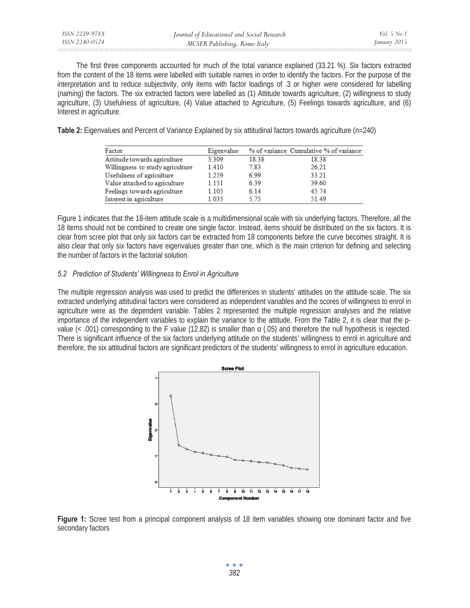The first three components accounted for much of the total variance explained (33.21 %). Six factors extracted from the content of the 18 items were labelled with suitable names in order to identify the factors. For the purpose of the interpretation and to reduce subjectivity, only items with factor loadings of .3 or higher were considered for labelling (naming) the factors. The six extracted factors were labelled as (1) Attitude towards agriculture, (2) willingness to study agriculture, (3) Usefulness of agriculture, (4) Value attached to Agriculture, (5) Feelings towards agriculture, and (6) Interest in agriculture.

**Table 2:** Eigenvalues and Percent of Variance Explained by six attitudinal factors towards agriculture (n=240)

| Factor                           | Eigenvalue |       | % of variance Cumulative % of variance |
|----------------------------------|------------|-------|----------------------------------------|
| Attitude towards agriculture     | 3.309      | 18.38 | 18.38                                  |
| Willingness to study agriculture | 1.410      | 7.83  | 26.21                                  |
| Usefulness of agriculture        | 1.259      | 699   | 33.21                                  |
| Value attached to agriculture    | 1.151      | 6.39  | 39.60                                  |
| Feelings towards agriculture     | 1.105      | 6.14  | 45.74                                  |
| Interest in agriculture          | 1.035      | 5.75  | 51.49                                  |

Figure 1 indicates that the 18-item attitude scale is a multidimensional scale with six underlying factors. Therefore, all the 18 items should not be combined to create one single factor. Instead, items should be distributed on the six factors. It is clear from scree plot that only six factors can be extracted from 18 components before the curve becomes straight. It is also clear that only six factors have eigenvalues greater than one, which is the main criterion for defining and selecting the number of factors in the factorial solution.

# *5.2 Prediction of Students' Willingness to Enrol in Agriculture*

The multiple regression analysis was used to predict the differences in students' attitudes on the attitude scale. The six extracted underlying attitudinal factors were considered as independent variables and the scores of willingness to enrol in agriculture were as the dependent variable. Tables 2 represented the multiple regression analyses and the relative importance of the independent variables to explain the variance to the attitude. From the Table 2, it is clear that the pvalue  $(<.001)$  corresponding to the F value (12.82) is smaller than  $\alpha$  (.05) and therefore the null hypothesis is rejected. There is significant influence of the six factors underlying attitude on the students' willingness to enrol in agriculture and therefore, the six attitudinal factors are significant predictors of the students' willingness to enrol in agriculture education.



**Figure 1:** Scree test from a principal component analysis of 18 item variables showing one dominant factor and five secondary factors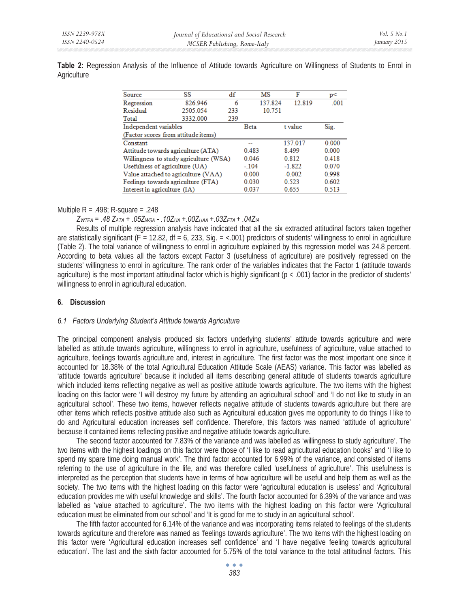**Table 2:** Regression Analysis of the Influence of Attitude towards Agriculture on Willingness of Students to Enrol in **Agriculture** 

| Source                              | SS                                     | df                      | MS    |          | F        | p<    |
|-------------------------------------|----------------------------------------|-------------------------|-------|----------|----------|-------|
| Regression                          | 826.946                                | 6                       |       | 137.824  | 12.819   | .001  |
| Residual                            | 2505.054                               | 233                     |       | 10.751   |          |       |
| Total                               | 3332.000                               | 239                     |       |          |          |       |
| Independent variables               |                                        | t value<br><b>B</b> eta |       | Sig.     |          |       |
| (Factor scores from attitude items) |                                        |                         |       |          |          |       |
| Constant                            |                                        |                         | --    |          | 137.017  | 0.000 |
|                                     | Attitude towards agriculture (ATA)     |                         | 0.483 |          | 8.499    | 0.000 |
|                                     | Willingness to study agriculture (WSA) |                         | 0.046 |          | 0.812    | 0.418 |
| Usefulness of agriculture (UA)      |                                        | $-.104$                 |       | $-1.822$ | 0.070    |       |
|                                     | Value attached to agriculture (VAA)    |                         | 0.000 |          | $-0.002$ | 0.998 |
|                                     | Feelings towards agriculture (FTA)     |                         | 0.030 |          | 0.523    | 0.602 |
| Interest in agriculture (IA)        |                                        |                         | 0.037 |          | 0.655    | 0.513 |

# Multiple  $R = .498$ ; R-square = .248

*ZWTEA = .48 ZATA + .05ZWSA - .10ZUA +.00ZUAA +.03ZFTA + .04ZIA*

Results of multiple regression analysis have indicated that all the six extracted attitudinal factors taken together are statistically significant (F = 12.82, df = 6, 233, Sig. =  $< .001$ ) predictors of students' willingness to enrol in agriculture (Table 2). The total variance of willingness to enrol in agriculture explained by this regression model was 24.8 percent. According to beta values all the factors except Factor 3 (usefulness of agriculture) are positively regressed on the students' willingness to enrol in agriculture. The rank order of the variables indicates that the Factor 1 (attitude towards agriculture) is the most important attitudinal factor which is highly significant (p < .001) factor in the predictor of students' willingness to enrol in agricultural education.

# **6. Discussion**

## *6.1 Factors Underlying Student's Attitude towards Agriculture*

The principal component analysis produced six factors underlying students' attitude towards agriculture and were labelled as attitude towards agriculture, willingness to enrol in agriculture, usefulness of agriculture, value attached to agriculture, feelings towards agriculture and, interest in agriculture. The first factor was the most important one since it accounted for 18.38% of the total Agricultural Education Attitude Scale (AEAS) variance. This factor was labelled as 'attitude towards agriculture' because it included all items describing general attitude of students towards agriculture which included items reflecting negative as well as positive attitude towards agriculture. The two items with the highest loading on this factor were 'I will destroy my future by attending an agricultural school' and 'I do not like to study in an agricultural school'. These two items, however reflects negative attitude of students towards agriculture but there are other items which reflects positive attitude also such as Agricultural education gives me opportunity to do things I like to do and Agricultural education increases self confidence. Therefore, this factors was named 'attitude of agriculture' because it contained items reflecting positive and negative attitude towards agriculture.

The second factor accounted for 7.83% of the variance and was labelled as 'willingness to study agriculture'. The two items with the highest loadings on this factor were those of 'I like to read agricultural education books' and 'I like to spend my spare time doing manual work'. The third factor accounted for 6.99% of the variance, and consisted of items referring to the use of agriculture in the life, and was therefore called 'usefulness of agriculture'. This usefulness is interpreted as the perception that students have in terms of how agriculture will be useful and help them as well as the society. The two items with the highest loading on this factor were 'agricultural education is useless' and 'Agricultural education provides me with useful knowledge and skills'. The fourth factor accounted for 6.39% of the variance and was labelled as 'value attached to agriculture'. The two items with the highest loading on this factor were 'Agricultural education must be eliminated from our school' and 'It is good for me to study in an agricultural school'.

The fifth factor accounted for 6.14% of the variance and was incorporating items related to feelings of the students towards agriculture and therefore was named as 'feelings towards agriculture'. The two items with the highest loading on this factor were 'Agricultural education increases self confidence' and 'I have negative feeling towards agricultural education'. The last and the sixth factor accounted for 5.75% of the total variance to the total attitudinal factors. This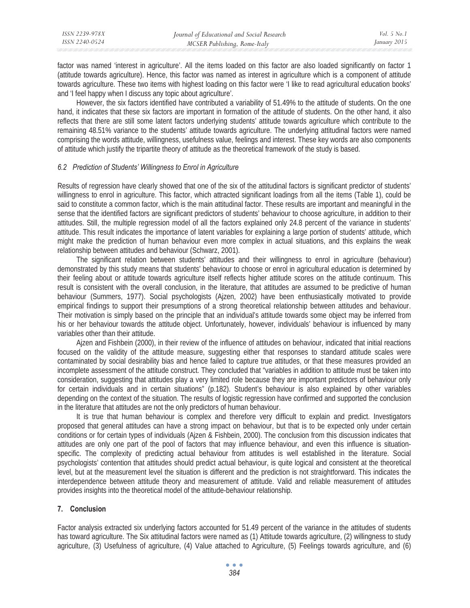factor was named 'interest in agriculture'. All the items loaded on this factor are also loaded significantly on factor 1 (attitude towards agriculture). Hence, this factor was named as interest in agriculture which is a component of attitude towards agriculture. These two items with highest loading on this factor were 'I like to read agricultural education books' and 'I feel happy when I discuss any topic about agriculture'.

However, the six factors identified have contributed a variability of 51.49% to the attitude of students. On the one hand, it indicates that these six factors are important in formation of the attitude of students. On the other hand, it also reflects that there are still some latent factors underlying students' attitude towards agriculture which contribute to the remaining 48.51% variance to the students' attitude towards agriculture. The underlying attitudinal factors were named comprising the words attitude, willingness, usefulness value, feelings and interest. These key words are also components of attitude which justify the tripartite theory of attitude as the theoretical framework of the study is based.

## *6.2 Prediction of Students' Willingness to Enrol in Agriculture*

Results of regression have clearly showed that one of the six of the attitudinal factors is significant predictor of students' willingness to enrol in agriculture. This factor, which attracted significant loadings from all the items (Table 1), could be said to constitute a common factor, which is the main attitudinal factor. These results are important and meaningful in the sense that the identified factors are significant predictors of students' behaviour to choose agriculture, in addition to their attitudes. Still, the multiple regression model of all the factors explained only 24.8 percent of the variance in students' attitude. This result indicates the importance of latent variables for explaining a large portion of students' attitude, which might make the prediction of human behaviour even more complex in actual situations, and this explains the weak relationship between attitudes and behaviour (Schwarz, 2001).

The significant relation between students' attitudes and their willingness to enrol in agriculture (behaviour) demonstrated by this study means that students' behaviour to choose or enrol in agricultural education is determined by their feeling about or attitude towards agriculture itself reflects higher attitude scores on the attitude continuum. This result is consistent with the overall conclusion, in the literature, that attitudes are assumed to be predictive of human behaviour (Summers, 1977). Social psychologists (Ajzen, 2002) have been enthusiastically motivated to provide empirical findings to support their presumptions of a strong theoretical relationship between attitudes and behaviour. Their motivation is simply based on the principle that an individual's attitude towards some object may be inferred from his or her behaviour towards the attitude object. Unfortunately, however, individuals' behaviour is influenced by many variables other than their attitude.

Ajzen and Fishbein (2000), in their review of the influence of attitudes on behaviour, indicated that initial reactions focused on the validity of the attitude measure, suggesting either that responses to standard attitude scales were contaminated by social desirability bias and hence failed to capture true attitudes, or that these measures provided an incomplete assessment of the attitude construct. They concluded that "variables in addition to attitude must be taken into consideration, suggesting that attitudes play a very limited role because they are important predictors of behaviour only for certain individuals and in certain situations" (p.182). Student's behaviour is also explained by other variables depending on the context of the situation. The results of logistic regression have confirmed and supported the conclusion in the literature that attitudes are not the only predictors of human behaviour.

It is true that human behaviour is complex and therefore very difficult to explain and predict. Investigators proposed that general attitudes can have a strong impact on behaviour, but that is to be expected only under certain conditions or for certain types of individuals (Ajzen & Fishbein, 2000). The conclusion from this discussion indicates that attitudes are only one part of the pool of factors that may influence behaviour, and even this influence is situationspecific. The complexity of predicting actual behaviour from attitudes is well established in the literature. Social psychologists' contention that attitudes should predict actual behaviour, is quite logical and consistent at the theoretical level, but at the measurement level the situation is different and the prediction is not straightforward. This indicates the interdependence between attitude theory and measurement of attitude. Valid and reliable measurement of attitudes provides insights into the theoretical model of the attitude-behaviour relationship.

## **7. Conclusion**

Factor analysis extracted six underlying factors accounted for 51.49 percent of the variance in the attitudes of students has toward agriculture. The Six attitudinal factors were named as (1) Attitude towards agriculture, (2) willingness to study agriculture, (3) Usefulness of agriculture, (4) Value attached to Agriculture, (5) Feelings towards agriculture, and (6)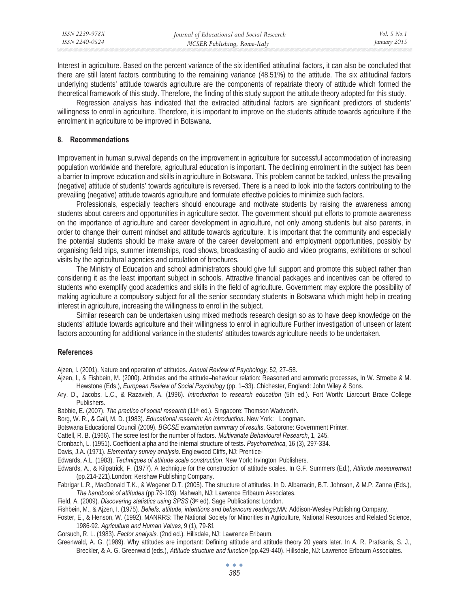Interest in agriculture. Based on the percent variance of the six identified attitudinal factors, it can also be concluded that there are still latent factors contributing to the remaining variance (48.51%) to the attitude. The six attitudinal factors underlying students' attitude towards agriculture are the components of repatriate theory of attitude which formed the theoretical framework of this study. Therefore, the finding of this study support the attitude theory adopted for this study.

Regression analysis has indicated that the extracted attitudinal factors are significant predictors of students' willingness to enrol in agriculture. Therefore, it is important to improve on the students attitude towards agriculture if the enrolment in agriculture to be improved in Botswana.

#### **8. Recommendations**

Improvement in human survival depends on the improvement in agriculture for successful accommodation of increasing population worldwide and therefore, agricultural education is important. The declining enrolment in the subject has been a barrier to improve education and skills in agriculture in Botswana. This problem cannot be tackled, unless the prevailing (negative) attitude of students' towards agriculture is reversed. There is a need to look into the factors contributing to the prevailing (negative) attitude towards agriculture and formulate effective policies to minimize such factors.

Professionals, especially teachers should encourage and motivate students by raising the awareness among students about careers and opportunities in agriculture sector. The government should put efforts to promote awareness on the importance of agriculture and career development in agriculture, not only among students but also parents, in order to change their current mindset and attitude towards agriculture. It is important that the community and especially the potential students should be make aware of the career development and employment opportunities, possibly by organising field trips, summer internships, road shows, broadcasting of audio and video programs, exhibitions or school visits by the agricultural agencies and circulation of brochures.

The Ministry of Education and school administrators should give full support and promote this subject rather than considering it as the least important subject in schools. Attractive financial packages and incentives can be offered to students who exemplify good academics and skills in the field of agriculture. Government may explore the possibility of making agriculture a compulsory subject for all the senior secondary students in Botswana which might help in creating interest in agriculture, increasing the willingness to enrol in the subject.

Similar research can be undertaken using mixed methods research design so as to have deep knowledge on the students' attitude towards agriculture and their willingness to enrol in agriculture Further investigation of unseen or latent factors accounting for additional variance in the students' attitudes towards agriculture needs to be undertaken.

#### **References**

Ajzen, I. (2001). Nature and operation of attitudes. *Annual Review of Psychology,* 52*,* 27–58.

- Ajzen, I., & Fishbein, M. (2000). Attitudes and the attitude–behaviour relation: Reasoned and automatic processes, In W. Stroebe & M. Hewstone (Eds.), *European Review of Social Psychology* (pp. 1–33). Chichester, England: John Wiley & Sons.
- Ary, D., Jacobs, L.C., & Razavieh, A. (1996). *Introduction to research education* (5th ed.). Fort Worth: Liarcourt Brace College Publishers.
- Babbie, E. (2007). *The practice of social research* (11<sup>th</sup> ed.). Singapore: Thomson Wadworth.
- Borg, W. R., *&* Gall, M. D. (1983). *Educational research: An introduction*. New York: Longman.
- Botswana Educational Council (2009). *BGCSE examination summary of results*. Gaborone: Government Printer.
- Cattell, R. B. (1966). The scree test for the number of factors. *Multivariate Behavioural Research*, 1, 245.
- Cronbach, L. (1951). Coefficient alpha and the internal structure of tests. *Psychometrica*, 16 (3), 297-334.
- Davis, J.A. (1971). *Elementary survey analysis*. Englewood Cliffs, NJ: Prentice-

Edwards, A.L. (1983). *Techniques of attitude scale construction*. New York: Irvington Publishers.

Edwards, A., & Kilpatrick, F. (1977). A technique for the construction of attitude scales. In G.F. Summers (Ed.), *Attitude measurement* (pp.214-221).London: Kershaw Publishing Company.

- Fabrigar L.R., MacDonald T.K., & Wegener D.T. (2005). The structure of attitudes. In D. Albarracin, B.T. Johnson, & M.P. Zanna (Eds.), *The handbook of attitudes* (pp.79-103). Mahwah, NJ: Lawrence Erlbaum Associates.
- Field, A. (2009). *Discovering statistics using SPSS* (3rd ed). Sage Publications: London.

Fishbein, M., & Ajzen, I. (1975). *Beliefs, attitude, intentions and behaviours readings*,MA: Addison-Wesley Publishing Company.

Foster, E., & Henson, W. (1992). MANRRS: The National Society for Minorities in Agriculture, National Resources and Related Science, 1986-92. *Agriculture and Human Values*, 9 (1), 79-81

Gorsuch, R. L. (1983). *Factor analysis.* (2nd ed.). Hillsdale, NJ: Lawrence Erlbaum.

Greenwald, A. G. (1989). Why attitudes are important: Defining attitude and attitude theory 20 years later. In A. R. Pratkanis, S. J., Breckler, & A. G. Greenwald (eds.), *Attitude structure and function* (pp.429-440). Hillsdale, NJ: Lawrence Erlbaum Associates.